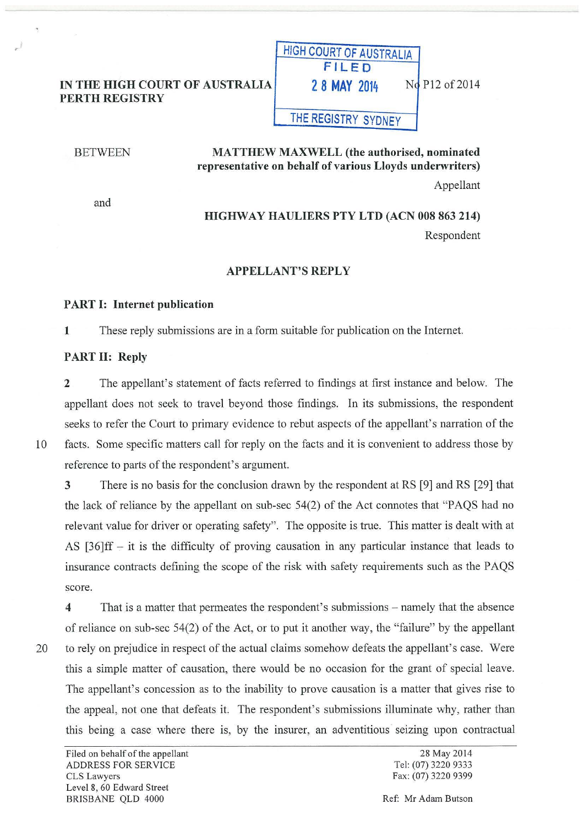## IN THE HIGH COURT OF AUSTRALIA PERTH REGISTRY

#### **BETWEEN**

# MATTHEW MAXWELL (the authorised, nominated representative on behalf of various Lloyds underwriters)

THE REGISTRY SYDNEY

HIGH COURT OF AUSTRALIA FILED

**2 8 MAY 2014** No P12 of 2014

Appellant

and

# HIGHWAY HAULIERS PTY LTD (ACN 008 863 214) Respondent

### APPELLANT'S REPLY

## PART I: Internet publication

1 These reply submissions are in a form suitable for publication on the Internet.

### PART II: Reply

2 The appellant's statement of facts referred to findings at first instance and below. The appellant does not seek to travel beyond those findings. In its submissions, the respondent seeks to refer the Court to primary evidence to rebut aspects of the appellant's narration of the

10 facts. Some specific matters call for reply on the facts and it is convenient to address those by reference to parts of the respondent's argument.

3 There is no basis for the conclusion drawn by the respondent at RS [9] and RS [29] that the lack of reliance by the appellant on sub-sec  $54(2)$  of the Act connotes that "PAQS had no relevant value for driver or operating safety". The opposite is true. This matter is dealt with at AS  $[36]$ ff – it is the difficulty of proving causation in any particular instance that leads to insurance contracts defining the scope of the risk with safety requirements such as the PAQS score.

4 That is a matter that permeates the respondent's submissions- namely that the absence of reliance on sub-sec 54(2) of the Act, or to put it another way, the "failure" by the appellant 20 to rely on prejudice in respect of the actual claims somehow defeats the appellant's case. Were this a simple matter of causation, there would be no occasion for the grant of special leave. The appellant's concession as to the inability to prove causation is a matter that gives rise to the appeal, not one that defeats it. The respondent's submissions illuminate why, rather than this being a case where there 1s, by the insurer, an adventitious seizing upon contractual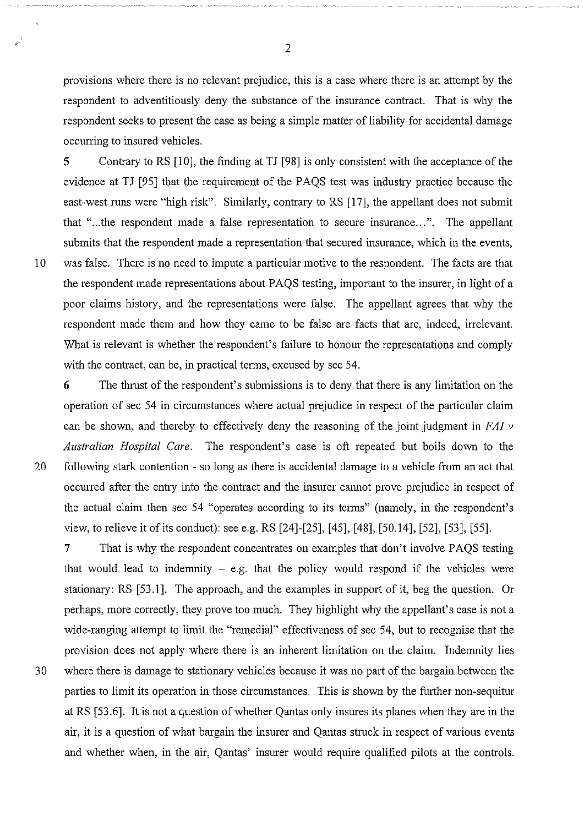provisions where there is no relevant prejudice, this is a case where there is an attempt by the respondent to adventitiously deny the substance of the insurance contract. That is why the respondent seeks to present the case as being a simple matter of liability for accidental damage occurring to insured vehicles.

5 Contrary to RS [10], the finding at TJ [98] is only consistent with the acceptance of the evidence at TJ [95] that the requirement of the PAQS test was industry practice because the east-west runs were "high risk". Similarly, contrary to RS [17], the appellant does not submit that "...the respondent made a false representation to secure insurance...". The appellant submits that the respondent made a representation that secured insurance, which in the events, l 0 was false. There is no need to impute a particular motive to the respondent. The facts are that the respondent made representations about PAQS testing, important to the insurer, in light of a poor claims history, and the representations were false. The appellant agrees that why the respondent made them and how they came to be false are facts that are, indeed, irrelevant. What is relevant is whether the respondent's failure to honour the representations and comply with the contract, can be, in practical terms, excused by sec 54.

6 The thrust of the respondent's submissions is to deny that there is any limitation on the operation of sec 54 in circumstances where actual prejudice in respect of the particular claim can be shown, and thereby to effectively deny the reasoning of the joint judgment in  $FAI$   $\nu$ *Australian Hospital Care.* The respondent's case is oft repeated but boils down to the 20 following stark contention - so long as there is accidental damage to a vehicle from an act that occurred after the entry into the contract and the insurer cannot prove prejudice in respect of the actual claim then sec 54 "operates according to its terms" (namely, in the respondent's view, to relieve it of its conduct): see e.g. RS [24]-[25], [45], [48], [50.14], [52], [53], [55].

7 That is why the respondent concentrates on examples that don't involve PAQS testing that would lead to indemnity  $-$  e.g. that the policy would respond if the vehicles were stationary: RS [53.1]. The approach, and the examples in support of it, beg the question. Or perhaps, more correctly, they prove too much. They highlight why the appellant's case is not a wide-ranging attempt to limit the "remedial" effectiveness of sec 54, but to recognise that the provision does not apply where there is an inherent limitation on the claim. Indemnity lies 30 where there is damage to stationary vehicles because it was no part of the bargain between the parties to limit its operation in those circumstances. This is shown by the further non-sequitur at RS [53.6]. It is not a question of whether Qantas only insures its planes when they are in the air, it is a question of what bargain the insurer and Qantas struck in respect of various events and whether when, in the air, Qantas' insurer would require qualified pilots at the controls.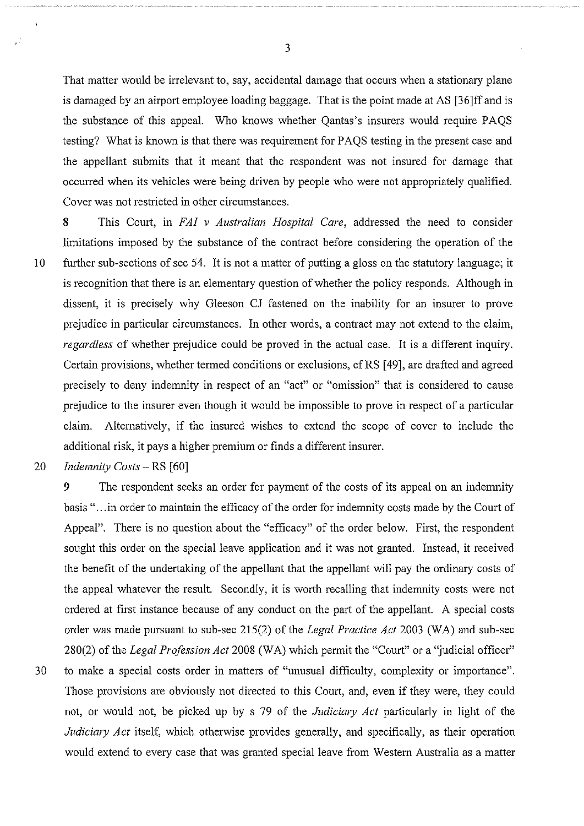That matter would be irrelevant to, say, accidental damage that occurs when a stationary plane is damaged by an airport employee loading baggage. That is the point made at AS [36]ff and is the substance of this appeal. Who knows whether Qantas's insurers would require PAQS testing? What is known is that there was requirement for PAQS testing in the present case and the appellant submits that it meant that the respondent was not insured for damage that occurred when its vehicles were being driven by people who were not appropriately qualified. Cover was not restricted in other circumstances.

8 This Court, in *FA! v Australian Hospital Care,* addressed the need to consider limitations imposed by the substance of the contract before considering the operation of the 10 further sub-sections of sec 54. It is not a matter of putting a gloss on the statutory language; it is recognition that there is an elementary question of whether the policy responds. Although in dissent, it is precisely why Gleeson CJ fastened on the inability for an insurer to prove prejudice in particular circumstances. In other words, a contract may not extend to the claim, *regardless* of whether prejudice could be proved in the actual case. It is a different inquiry. Certain provisions, whether termed conditions or exclusions, cf RS [ 49], are drafted and agreed precisely to deny indemnity in respect of an "act" or "omission" that is considered to cause prejudice to the insurer even though it would be impossible to prove in respect of a particular claim. Alternatively, if the insured wishes to extend the scope of cover to include the additional risk, it pays a higher premium or finds a different insurer.

20 *Indemnity Costs-* RS [60]

9 The respondent seeks an order for payment of the costs of its appeal on an indemnity basis "... in order to maintain the efficacy of the order for indemnity costs made by the Court of Appeal". There is no question about the "efficacy" of the order below. First, the respondent sought this order on the special leave application and it was not granted. Instead, it received the benefit of the undertaking of the appellant that the appellant will pay the ordinary costs of the appeal whatever the result. Secondly, it is worth recalling that indemnity costs were not ordered at first instance because of any conduct on the part of the appellant. A special costs order was made pursuant to sub-sec 215(2) of the *Legal Practice Act* 2003 (WA) and sub-sec 280(2) of the *Legal Profession Act* 2008 (WA) which permit the "Court" or a "judicial officer" 3 0 to make a special costs order in matters of "unusual difficulty, complexity or importance". Those provisions are obviously not directed to this Court, and, even if they were, they could not, or would not, be picked up by s 79 of the *Judiciary Act* particularly in light of the *Judiciary Act* itself, which otherwise provides generally, and specifically, as their operation would extend to every case that was granted special leave from Western Australia as a matter